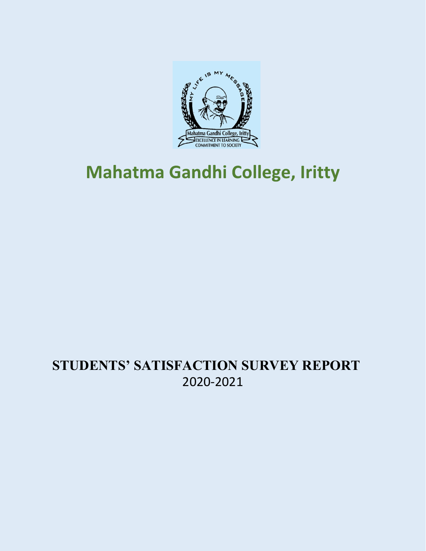

# **Mahatma Gandhi College, Iritty**

# **STUDENTS' SATISFACTION SURVEY REPORT**  2020-2021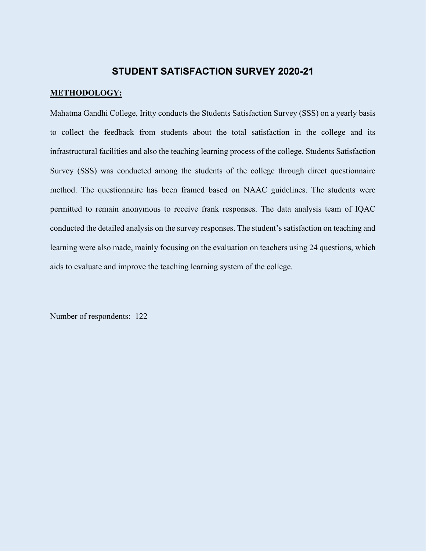# **STUDENT SATISFACTION SURVEY 2020-21**

#### **METHODOLOGY:**

Mahatma Gandhi College, Iritty conducts the Students Satisfaction Survey (SSS) on a yearly basis to collect the feedback from students about the total satisfaction in the college and its infrastructural facilities and also the teaching learning process of the college. Students Satisfaction Survey (SSS) was conducted among the students of the college through direct questionnaire method. The questionnaire has been framed based on NAAC guidelines. The students were permitted to remain anonymous to receive frank responses. The data analysis team of IQAC conducted the detailed analysis on the survey responses. The student's satisfaction on teaching and learning were also made, mainly focusing on the evaluation on teachers using 24 questions, which aids to evaluate and improve the teaching learning system of the college.

Number of respondents: 122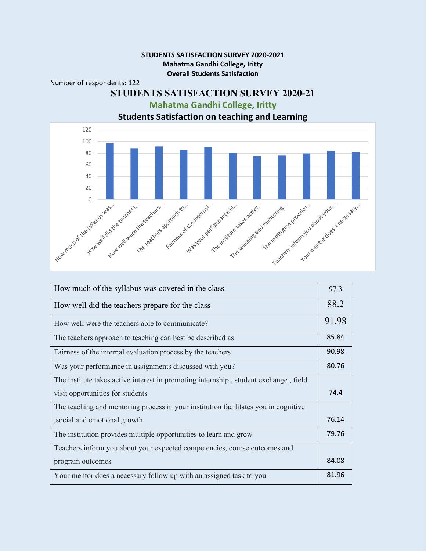#### **STUDENTS SATISFACTION SURVEY 2020-2021 Mahatma Gandhi College, Iritty Overall Students Satisfaction**

#### Number of respondents: 122

# **STUDENTS SATISFACTION SURVEY 2020-21 Mahatma Gandhi College, Iritty**



**Students Satisfaction on teaching and Learning**

| How much of the syllabus was covered in the class                                    | 97.3  |
|--------------------------------------------------------------------------------------|-------|
| How well did the teachers prepare for the class                                      | 88.2  |
| How well were the teachers able to communicate?                                      | 91.98 |
| The teachers approach to teaching can best be described as                           | 85.84 |
| Fairness of the internal evaluation process by the teachers                          | 90.98 |
| Was your performance in assignments discussed with you?                              | 80.76 |
| The institute takes active interest in promoting internship, student exchange, field |       |
| visit opportunities for students                                                     | 74.4  |
| The teaching and mentoring process in your institution facilitates you in cognitive  |       |
| , social and emotional growth                                                        | 76.14 |
| The institution provides multiple opportunities to learn and grow                    | 79.76 |
| Teachers inform you about your expected competencies, course outcomes and            |       |
| program outcomes                                                                     | 84.08 |
| Your mentor does a necessary follow up with an assigned task to you                  | 81.96 |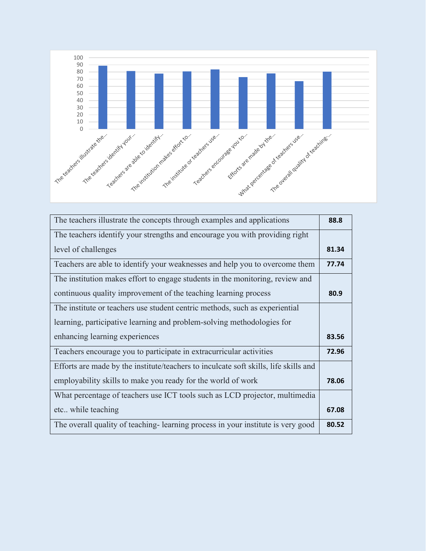

| The teachers illustrate the concepts through examples and applications               | 88.8  |
|--------------------------------------------------------------------------------------|-------|
| The teachers identify your strengths and encourage you with providing right          |       |
| level of challenges                                                                  | 81.34 |
| Teachers are able to identify your weaknesses and help you to overcome them          | 77.74 |
| The institution makes effort to engage students in the monitoring, review and        |       |
| continuous quality improvement of the teaching learning process                      | 80.9  |
| The institute or teachers use student centric methods, such as experiential          |       |
| learning, participative learning and problem-solving methodologies for               |       |
| enhancing learning experiences                                                       | 83.56 |
| Teachers encourage you to participate in extracurricular activities                  | 72.96 |
| Efforts are made by the institute/teachers to inculcate soft skills, life skills and |       |
| employability skills to make you ready for the world of work                         | 78.06 |
| What percentage of teachers use ICT tools such as LCD projector, multimedia          |       |
| etc while teaching                                                                   | 67.08 |
| The overall quality of teaching-learning process in your institute is very good      | 80.52 |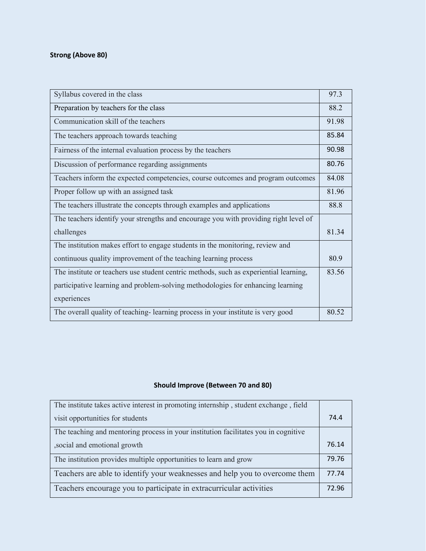## **Strong (Above 80)**

| Syllabus covered in the class                                                         | 97.3  |
|---------------------------------------------------------------------------------------|-------|
| Preparation by teachers for the class                                                 | 88.2  |
| Communication skill of the teachers                                                   | 91.98 |
| The teachers approach towards teaching                                                | 85.84 |
| Fairness of the internal evaluation process by the teachers                           | 90.98 |
| Discussion of performance regarding assignments                                       | 80.76 |
| Teachers inform the expected competencies, course outcomes and program outcomes       | 84.08 |
| Proper follow up with an assigned task                                                | 81.96 |
| The teachers illustrate the concepts through examples and applications                | 88.8  |
| The teachers identify your strengths and encourage you with providing right level of  |       |
| challenges                                                                            | 81.34 |
| The institution makes effort to engage students in the monitoring, review and         |       |
| continuous quality improvement of the teaching learning process                       | 80.9  |
| The institute or teachers use student centric methods, such as experiential learning, | 83.56 |
| participative learning and problem-solving methodologies for enhancing learning       |       |
| experiences                                                                           |       |
| The overall quality of teaching-learning process in your institute is very good       | 80.52 |

## **Should Improve (Between 70 and 80)**

| The institute takes active interest in promoting internship, student exchange, field |       |
|--------------------------------------------------------------------------------------|-------|
| visit opportunities for students                                                     | 74.4  |
| The teaching and mentoring process in your institution facilitates you in cognitive  |       |
| , social and emotional growth                                                        | 76.14 |
| The institution provides multiple opportunities to learn and grow                    | 79.76 |
| Teachers are able to identify your weaknesses and help you to overcome them          | 77.74 |
| Teachers encourage you to participate in extracurricular activities                  | 72.96 |